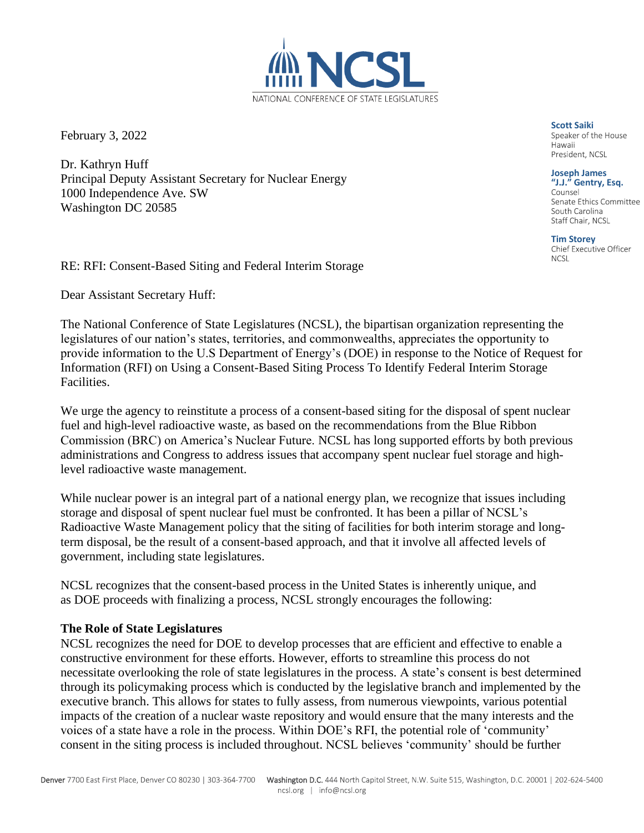February 3, 2022

Dr. Kathryn Huff Principal Deputy Assistant Secretary for Nuclear Energy 1000 Independence Ave. SW Washington DC 20585

RE: RFI: Consent-Based Siting and Federal Interim Storage

Dear Assistant Secretary Huff:

The National Conference of State Legislatures (NCSL), the bipartisan organization representing the legislatures of our nation's states, territories, and commonwealths, appreciates the opportunity to provide information to the U.S Department of Energy's (DOE) in response to the Notice of Request for Information (RFI) on Using a Consent-Based Siting Process To Identify Federal Interim Storage Facilities.

We urge the agency to reinstitute a process of a consent-based siting for the disposal of spent nuclear fuel and high-level radioactive waste, as based on the recommendations from the Blue Ribbon Commission (BRC) on America's Nuclear Future. NCSL has long supported efforts by both previous administrations and Congress to address issues that accompany spent nuclear fuel storage and highlevel radioactive waste management.

While nuclear power is an integral part of a national energy plan, we recognize that issues including storage and disposal of spent nuclear fuel must be confronted. It has been a pillar of NCSL's Radioactive Waste Management policy that the siting of facilities for both interim storage and longterm disposal, be the result of a consent-based approach, and that it involve all affected levels of government, including state legislatures.

NCSL recognizes that the consent-based process in the United States is inherently unique, and as DOE proceeds with finalizing a process, NCSL strongly encourages the following:

## **The Role of State Legislatures**

NCSL recognizes the need for DOE to develop processes that are efficient and effective to enable a constructive environment for these efforts. However, efforts to streamline this process do not necessitate overlooking the role of state legislatures in the process. A state's consent is best determined through its policymaking process which is conducted by the legislative branch and implemented by the executive branch. This allows for states to fully assess, from numerous viewpoints, various potential impacts of the creation of a nuclear waste repository and would ensure that the many interests and the voices of a state have a role in the process. Within DOE's RFI, the potential role of 'community' consent in the siting process is included throughout. NCSL believes 'community' should be further



**Scott Saiki**<br>Speaker of the House Hawaii President, NCSL

**Joseph James** 

**"J.J." Gentry, Esq.** Senate Ethics Committee South Carolina Staff Chair, NCSL

**Tim Storey NCSL**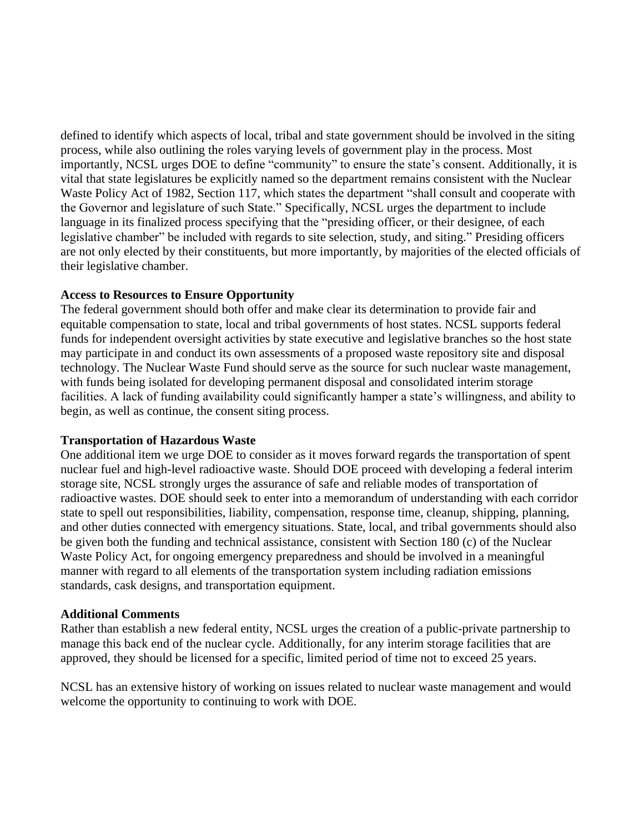defined to identify which aspects of local, tribal and state government should be involved in the siting process, while also outlining the roles varying levels of government play in the process. Most importantly, NCSL urges DOE to define "community" to ensure the state's consent. Additionally, it is vital that state legislatures be explicitly named so the department remains consistent with the Nuclear Waste Policy Act of 1982, Section 117, which states the department "shall consult and cooperate with the Governor and legislature of such State." Specifically, NCSL urges the department to include language in its finalized process specifying that the "presiding officer, or their designee, of each legislative chamber" be included with regards to site selection, study, and siting." Presiding officers are not only elected by their constituents, but more importantly, by majorities of the elected officials of their legislative chamber.

## **Access to Resources to Ensure Opportunity**

The federal government should both offer and make clear its determination to provide fair and equitable compensation to state, local and tribal governments of host states. NCSL supports federal funds for independent oversight activities by state executive and legislative branches so the host state may participate in and conduct its own assessments of a proposed waste repository site and disposal technology. The Nuclear Waste Fund should serve as the source for such nuclear waste management, with funds being isolated for developing permanent disposal and consolidated interim storage facilities. A lack of funding availability could significantly hamper a state's willingness, and ability to begin, as well as continue, the consent siting process.

## **Transportation of Hazardous Waste**

One additional item we urge DOE to consider as it moves forward regards the transportation of spent nuclear fuel and high-level radioactive waste. Should DOE proceed with developing a federal interim storage site, NCSL strongly urges the assurance of safe and reliable modes of transportation of radioactive wastes. DOE should seek to enter into a memorandum of understanding with each corridor state to spell out responsibilities, liability, compensation, response time, cleanup, shipping, planning, and other duties connected with emergency situations. State, local, and tribal governments should also be given both the funding and technical assistance, consistent with Section 180 (c) of the Nuclear Waste Policy Act, for ongoing emergency preparedness and should be involved in a meaningful manner with regard to all elements of the transportation system including radiation emissions standards, cask designs, and transportation equipment.

## **Additional Comments**

Rather than establish a new federal entity, NCSL urges the creation of a public-private partnership to manage this back end of the nuclear cycle. Additionally, for any interim storage facilities that are approved, they should be licensed for a specific, limited period of time not to exceed 25 years.

NCSL has an extensive history of working on issues related to nuclear waste management and would welcome the opportunity to continuing to work with DOE.